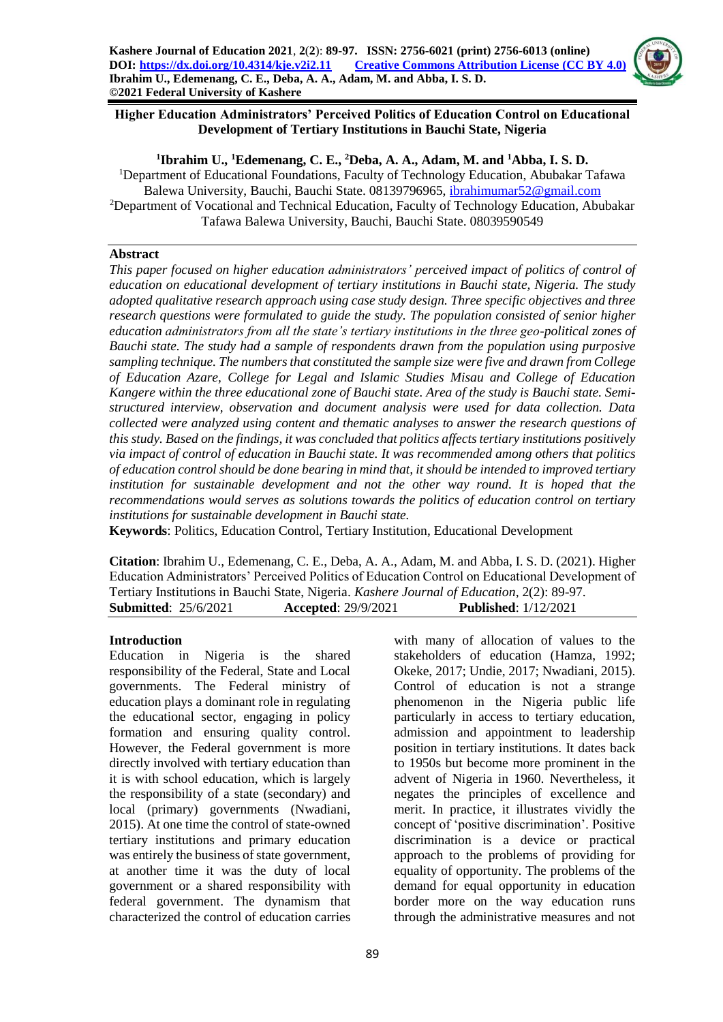

## **Higher Education Administrators' Perceived Politics of Education Control on Educational Development of Tertiary Institutions in Bauchi State, Nigeria**

## **1 Ibrahim U., <sup>1</sup>Edemenang, C. E., <sup>2</sup>Deba, A. A., Adam, M. and <sup>1</sup>Abba, I. S. D.**

<sup>1</sup>Department of Educational Foundations, Faculty of Technology Education, Abubakar Tafawa Balewa University, Bauchi, Bauchi State. 08139796965, [ibrahimumar52@gmail.com](mailto:ibrahimumar52@gmail.com) <sup>2</sup>Department of Vocational and Technical Education, Faculty of Technology Education, Abubakar Tafawa Balewa University, Bauchi, Bauchi State. 08039590549

## **Abstract**

*This paper focused on higher education administrators' perceived impact of politics of control of education on educational development of tertiary institutions in Bauchi state, Nigeria. The study adopted qualitative research approach using case study design. Three specific objectives and three research questions were formulated to guide the study. The population consisted of senior higher education administrators from all the state's tertiary institutions in the three geo-political zones of Bauchi state. The study had a sample of respondents drawn from the population using purposive sampling technique. The numbers that constituted the sample size were five and drawn from College of Education Azare, College for Legal and Islamic Studies Misau and College of Education Kangere within the three educational zone of Bauchi state. Area of the study is Bauchi state. Semistructured interview, observation and document analysis were used for data collection. Data collected were analyzed using content and thematic analyses to answer the research questions of this study. Based on the findings, it was concluded that politics affects tertiary institutions positively via impact of control of education in Bauchi state. It was recommended among others that politics of education control should be done bearing in mind that, it should be intended to improved tertiary institution for sustainable development and not the other way round. It is hoped that the recommendations would serves as solutions towards the politics of education control on tertiary institutions for sustainable development in Bauchi state.*

**Keywords**: Politics, Education Control, Tertiary Institution, Educational Development

**Citation**: Ibrahim U., Edemenang, C. E., Deba, A. A., Adam, M. and Abba, I. S. D. (2021). Higher Education Administrators' Perceived Politics of Education Control on Educational Development of Tertiary Institutions in Bauchi State, Nigeria. *Kashere Journal of Education*, 2(2): 89-97. **Submitted**: 25/6/2021 **Accepted**: 29/9/2021 **Published**: 1/12/2021

## **Introduction**

Education in Nigeria is the shared responsibility of the Federal, State and Local governments. The Federal ministry of education plays a dominant role in regulating the educational sector, engaging in policy formation and ensuring quality control. However, the Federal government is more directly involved with tertiary education than it is with school education, which is largely the responsibility of a state (secondary) and local (primary) governments (Nwadiani, 2015). At one time the control of state-owned tertiary institutions and primary education was entirely the business of state government, at another time it was the duty of local government or a shared responsibility with federal government. The dynamism that characterized the control of education carries

with many of allocation of values to the stakeholders of education (Hamza, 1992; Okeke, 2017; Undie, 2017; Nwadiani, 2015). Control of education is not a strange phenomenon in the Nigeria public life particularly in access to tertiary education, admission and appointment to leadership position in tertiary institutions. It dates back to 1950s but become more prominent in the advent of Nigeria in 1960. Nevertheless, it negates the principles of excellence and merit. In practice, it illustrates vividly the concept of 'positive discrimination'. Positive discrimination is a device or practical approach to the problems of providing for equality of opportunity. The problems of the demand for equal opportunity in education border more on the way education runs through the administrative measures and not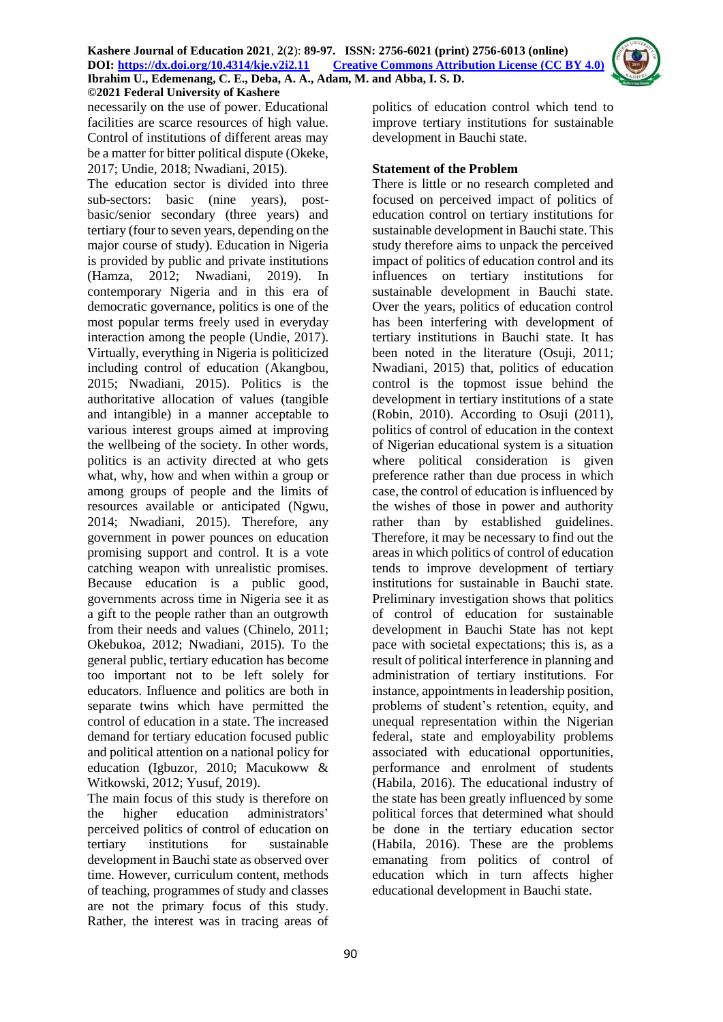

necessarily on the use of power. Educational facilities are scarce resources of high value. Control of institutions of different areas may be a matter for bitter political dispute (Okeke, 2017; Undie, 2018; Nwadiani, 2015).

The education sector is divided into three sub-sectors: basic (nine years), postbasic/senior secondary (three years) and tertiary (four to seven years, depending on the major course of study). Education in Nigeria is provided by public and private institutions (Hamza, 2012; Nwadiani, 2019). In contemporary Nigeria and in this era of democratic governance, politics is one of the most popular terms freely used in everyday interaction among the people (Undie, 2017). Virtually, everything in Nigeria is politicized including control of education (Akangbou, 2015; Nwadiani, 2015). Politics is the authoritative allocation of values (tangible and intangible) in a manner acceptable to various interest groups aimed at improving the wellbeing of the society. In other words, politics is an activity directed at who gets what, why, how and when within a group or among groups of people and the limits of resources available or anticipated (Ngwu, 2014; Nwadiani, 2015). Therefore, any government in power pounces on education promising support and control. It is a vote catching weapon with unrealistic promises. Because education is a public good, governments across time in Nigeria see it as a gift to the people rather than an outgrowth from their needs and values (Chinelo, 2011; Okebukoa, 2012; Nwadiani, 2015). To the general public, tertiary education has become too important not to be left solely for educators. Influence and politics are both in separate twins which have permitted the control of education in a state. The increased demand for tertiary education focused public and political attention on a national policy for education (Igbuzor, 2010; Macukoww & Witkowski, 2012; Yusuf, 2019).

The main focus of this study is therefore on the higher education administrators' perceived politics of control of education on tertiary institutions for sustainable development in Bauchi state as observed over time. However, curriculum content, methods of teaching, programmes of study and classes are not the primary focus of this study. Rather, the interest was in tracing areas of

politics of education control which tend to improve tertiary institutions for sustainable development in Bauchi state.

## **Statement of the Problem**

There is little or no research completed and focused on perceived impact of politics of education control on tertiary institutions for sustainable development in Bauchi state. This study therefore aims to unpack the perceived impact of politics of education control and its influences on tertiary institutions for sustainable development in Bauchi state. Over the years, politics of education control has been interfering with development of tertiary institutions in Bauchi state. It has been noted in the literature (Osuji, 2011; Nwadiani, 2015) that, politics of education control is the topmost issue behind the development in tertiary institutions of a state (Robin, 2010). According to Osuji (2011), politics of control of education in the context of Nigerian educational system is a situation where political consideration is given preference rather than due process in which case, the control of education is influenced by the wishes of those in power and authority rather than by established guidelines. Therefore, it may be necessary to find out the areas in which politics of control of education tends to improve development of tertiary institutions for sustainable in Bauchi state. Preliminary investigation shows that politics of control of education for sustainable development in Bauchi State has not kept pace with societal expectations; this is, as a result of political interference in planning and administration of tertiary institutions. For instance, appointments in leadership position, problems of student's retention, equity, and unequal representation within the Nigerian federal, state and employability problems associated with educational opportunities, performance and enrolment of students (Habila, 2016). The educational industry of the state has been greatly influenced by some political forces that determined what should be done in the tertiary education sector (Habila, 2016). These are the problems emanating from politics of control of education which in turn affects higher educational development in Bauchi state.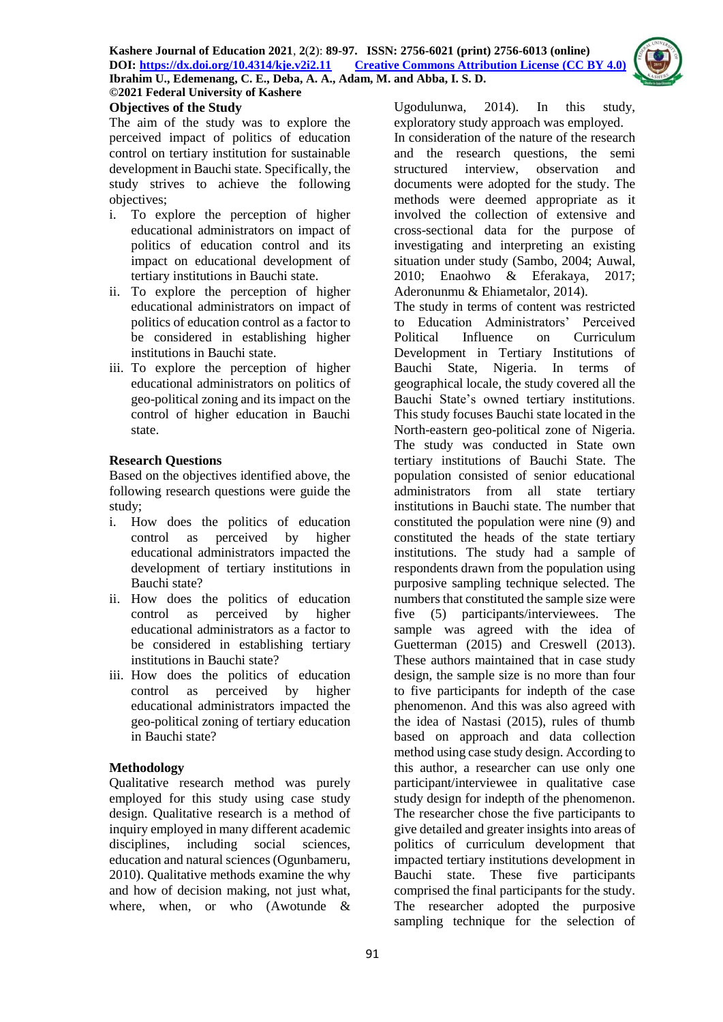

# **Objectives of the Study**

The aim of the study was to explore the perceived impact of politics of education control on tertiary institution for sustainable development in Bauchi state. Specifically, the study strives to achieve the following objectives;

- i. To explore the perception of higher educational administrators on impact of politics of education control and its impact on educational development of tertiary institutions in Bauchi state.
- ii. To explore the perception of higher educational administrators on impact of politics of education control as a factor to be considered in establishing higher institutions in Bauchi state.
- iii. To explore the perception of higher educational administrators on politics of geo-political zoning and its impact on the control of higher education in Bauchi state.

## **Research Questions**

Based on the objectives identified above, the following research questions were guide the study;

- i. How does the politics of education control as perceived by higher educational administrators impacted the development of tertiary institutions in Bauchi state?
- ii. How does the politics of education control as perceived by higher educational administrators as a factor to be considered in establishing tertiary institutions in Bauchi state?
- iii. How does the politics of education control as perceived by higher educational administrators impacted the geo-political zoning of tertiary education in Bauchi state?

## **Methodology**

Qualitative research method was purely employed for this study using case study design. Qualitative research is a method of inquiry employed in many different academic disciplines, including social sciences, education and natural sciences (Ogunbameru, 2010). Qualitative methods examine the why and how of decision making, not just what, where, when, or who (Awotunde &

Ugodulunwa, 2014). In this study, exploratory study approach was employed. In consideration of the nature of the research and the research questions, the semi structured interview, observation and documents were adopted for the study. The methods were deemed appropriate as it involved the collection of extensive and cross-sectional data for the purpose of investigating and interpreting an existing situation under study (Sambo, 2004; Auwal, 2010; Enaohwo & Eferakaya, 2017; Aderonunmu & Ehiametalor, 2014).

The study in terms of content was restricted to Education Administrators' Perceived Political Influence on Curriculum Development in Tertiary Institutions of Bauchi State, Nigeria. In terms of geographical locale, the study covered all the Bauchi State's owned tertiary institutions. This study focuses Bauchi state located in the North-eastern geo-political zone of Nigeria. The study was conducted in State own tertiary institutions of Bauchi State. The population consisted of senior educational administrators from all state tertiary institutions in Bauchi state. The number that constituted the population were nine (9) and constituted the heads of the state tertiary institutions. The study had a sample of respondents drawn from the population using purposive sampling technique selected. The numbers that constituted the sample size were five (5) participants/interviewees. The sample was agreed with the idea of Guetterman (2015) and Creswell (2013). These authors maintained that in case study design, the sample size is no more than four to five participants for indepth of the case phenomenon. And this was also agreed with the idea of Nastasi (2015), rules of thumb based on approach and data collection method using case study design. According to this author, a researcher can use only one participant/interviewee in qualitative case study design for indepth of the phenomenon. The researcher chose the five participants to give detailed and greater insights into areas of politics of curriculum development that impacted tertiary institutions development in Bauchi state. These five participants comprised the final participants for the study. The researcher adopted the purposive sampling technique for the selection of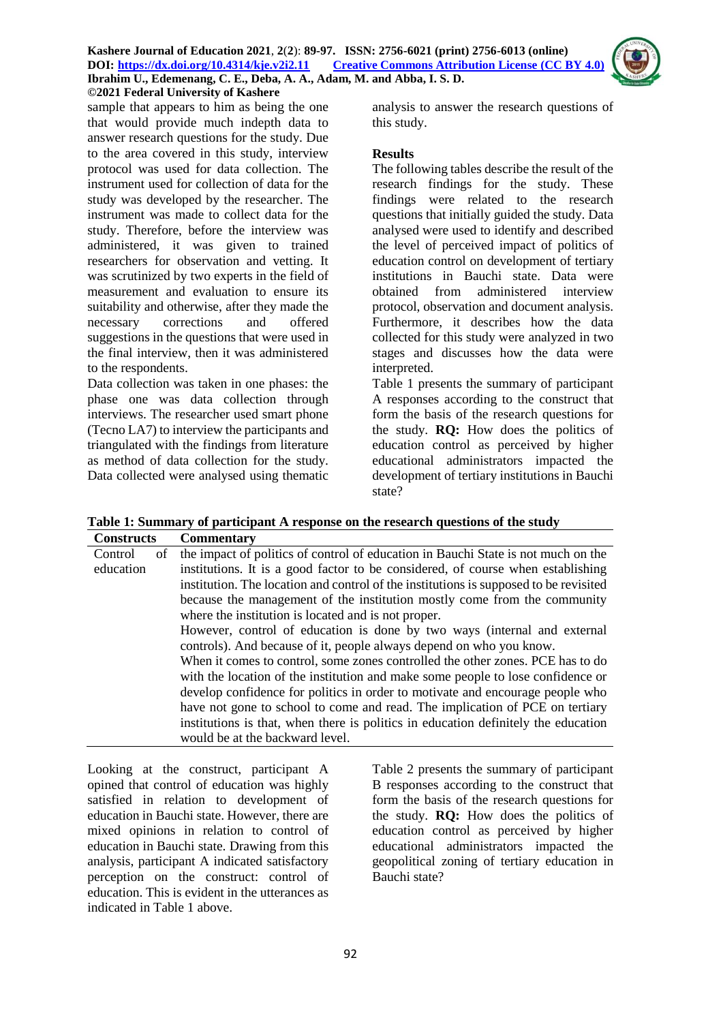

sample that appears to him as being the one that would provide much indepth data to answer research questions for the study. Due to the area covered in this study, interview protocol was used for data collection. The instrument used for collection of data for the study was developed by the researcher. The instrument was made to collect data for the study. Therefore, before the interview was administered, it was given to trained researchers for observation and vetting. It was scrutinized by two experts in the field of measurement and evaluation to ensure its suitability and otherwise, after they made the necessary corrections and offered suggestions in the questions that were used in the final interview, then it was administered to the respondents.

Data collection was taken in one phases: the phase one was data collection through interviews. The researcher used smart phone (Tecno LA7) to interview the participants and triangulated with the findings from literature as method of data collection for the study. Data collected were analysed using thematic analysis to answer the research questions of this study.

#### **Results**

The following tables describe the result of the research findings for the study. These findings were related to the research questions that initially guided the study. Data analysed were used to identify and described the level of perceived impact of politics of education control on development of tertiary institutions in Bauchi state. Data were obtained from administered interview protocol, observation and document analysis. Furthermore, it describes how the data collected for this study were analyzed in two stages and discusses how the data were interpreted.

Table 1 presents the summary of participant A responses according to the construct that form the basis of the research questions for the study. **RQ:** How does the politics of education control as perceived by higher educational administrators impacted the development of tertiary institutions in Bauchi state?

| <b>Constructs</b> | Commentary                                                                            |
|-------------------|---------------------------------------------------------------------------------------|
| Control<br>οf     | the impact of politics of control of education in Bauchi State is not much on the     |
| education         | institutions. It is a good factor to be considered, of course when establishing       |
|                   | institution. The location and control of the institutions is supposed to be revisited |
|                   | because the management of the institution mostly come from the community              |
|                   | where the institution is located and is not proper.                                   |
|                   | However, control of education is done by two ways (internal and external              |
|                   | controls). And because of it, people always depend on who you know.                   |
|                   | When it comes to control, some zones controlled the other zones. PCE has to do        |
|                   | with the location of the institution and make some people to lose confidence or       |
|                   | develop confidence for politics in order to motivate and encourage people who         |
|                   | have not gone to school to come and read. The implication of PCE on tertiary          |
|                   | institutions is that, when there is politics in education definitely the education    |
|                   | would be at the backward level.                                                       |

Looking at the construct, participant A opined that control of education was highly satisfied in relation to development of education in Bauchi state. However, there are mixed opinions in relation to control of education in Bauchi state. Drawing from this analysis, participant A indicated satisfactory perception on the construct: control of education. This is evident in the utterances as indicated in Table 1 above.

Table 2 presents the summary of participant B responses according to the construct that form the basis of the research questions for the study. **RQ:** How does the politics of education control as perceived by higher educational administrators impacted the geopolitical zoning of tertiary education in Bauchi state?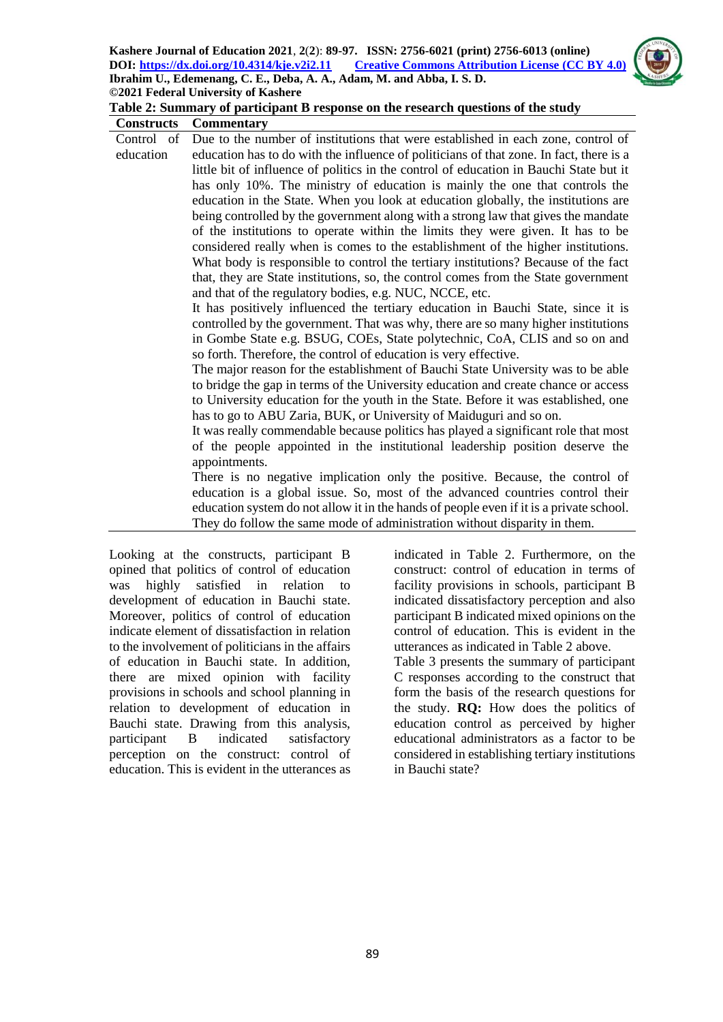

## **Table 2: Summary of participant B response on the research questions of the study**

| <b>Constructs</b> | <b>Commentary</b>                                                                       |
|-------------------|-----------------------------------------------------------------------------------------|
| Control of        | Due to the number of institutions that were established in each zone, control of        |
| education         | education has to do with the influence of politicians of that zone. In fact, there is a |
|                   | little bit of influence of politics in the control of education in Bauchi State but it  |
|                   | has only 10%. The ministry of education is mainly the one that controls the             |
|                   | education in the State. When you look at education globally, the institutions are       |
|                   | being controlled by the government along with a strong law that gives the mandate       |
|                   | of the institutions to operate within the limits they were given. It has to be          |
|                   | considered really when is comes to the establishment of the higher institutions.        |
|                   | What body is responsible to control the tertiary institutions? Because of the fact      |
|                   | that, they are State institutions, so, the control comes from the State government      |
|                   | and that of the regulatory bodies, e.g. NUC, NCCE, etc.                                 |
|                   | It has positively influenced the tertiary education in Bauchi State, since it is        |
|                   | controlled by the government. That was why, there are so many higher institutions       |
|                   | in Gombe State e.g. BSUG, COEs, State polytechnic, CoA, CLIS and so on and              |
|                   | so forth. Therefore, the control of education is very effective.                        |
|                   | The major reason for the establishment of Bauchi State University was to be able        |
|                   | to bridge the gap in terms of the University education and create chance or access      |
|                   | to University education for the youth in the State. Before it was established, one      |
|                   | has to go to ABU Zaria, BUK, or University of Maiduguri and so on.                      |
|                   | It was really commendable because politics has played a significant role that most      |
|                   | of the people appointed in the institutional leadership position deserve the            |
|                   | appointments.                                                                           |
|                   | There is no negative implication only the positive. Because, the control of             |
|                   | education is a global issue. So, most of the advanced countries control their           |
|                   | education system do not allow it in the hands of people even if it is a private school. |
|                   | They do follow the same mode of administration without disparity in them.               |

Looking at the constructs, participant B opined that politics of control of education was highly satisfied in relation to development of education in Bauchi state. Moreover, politics of control of education indicate element of dissatisfaction in relation to the involvement of politicians in the affairs of education in Bauchi state. In addition, there are mixed opinion with facility provisions in schools and school planning in relation to development of education in Bauchi state. Drawing from this analysis, participant B indicated satisfactory perception on the construct: control of education. This is evident in the utterances as indicated in Table 2. Furthermore, on the construct: control of education in terms of facility provisions in schools, participant B indicated dissatisfactory perception and also participant B indicated mixed opinions on the control of education. This is evident in the utterances as indicated in Table 2 above.

Table 3 presents the summary of participant C responses according to the construct that form the basis of the research questions for the study. **RQ:** How does the politics of education control as perceived by higher educational administrators as a factor to be considered in establishing tertiary institutions in Bauchi state?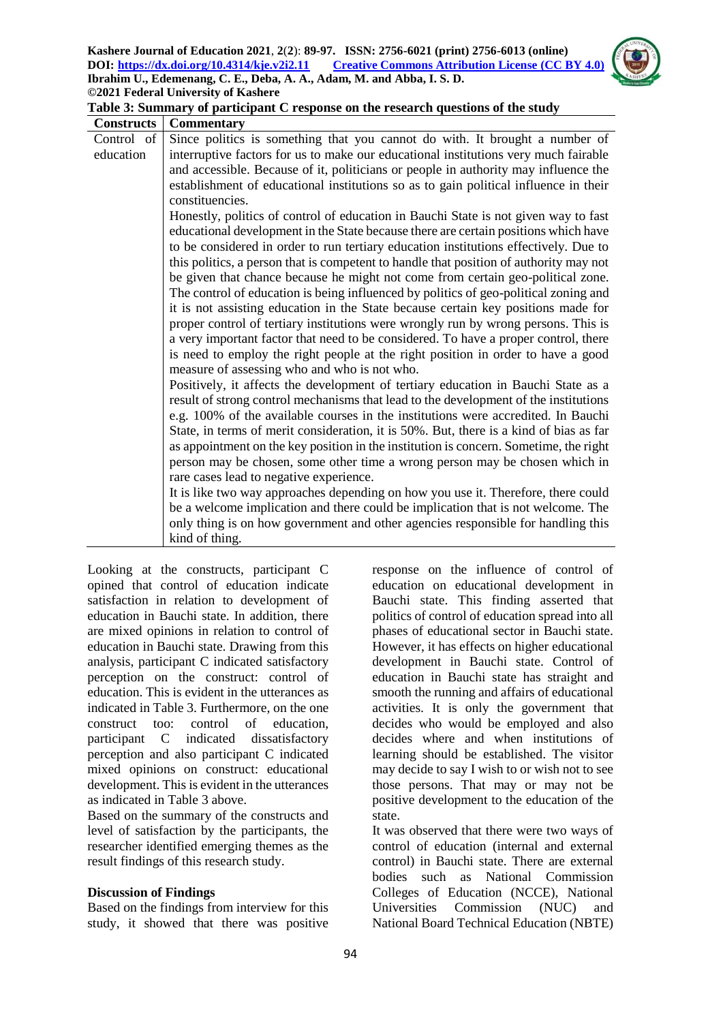

| <b>Constructs</b> | <b>Commentary</b>                                                                      |
|-------------------|----------------------------------------------------------------------------------------|
| Control of        | Since politics is something that you cannot do with. It brought a number of            |
| education         | interruptive factors for us to make our educational institutions very much fairable    |
|                   | and accessible. Because of it, politicians or people in authority may influence the    |
|                   | establishment of educational institutions so as to gain political influence in their   |
|                   | constituencies.                                                                        |
|                   | Honestly, politics of control of education in Bauchi State is not given way to fast    |
|                   | educational development in the State because there are certain positions which have    |
|                   | to be considered in order to run tertiary education institutions effectively. Due to   |
|                   | this politics, a person that is competent to handle that position of authority may not |
|                   | be given that chance because he might not come from certain geo-political zone.        |
|                   | The control of education is being influenced by politics of geo-political zoning and   |
|                   | it is not assisting education in the State because certain key positions made for      |
|                   | proper control of tertiary institutions were wrongly run by wrong persons. This is     |
|                   | a very important factor that need to be considered. To have a proper control, there    |
|                   | is need to employ the right people at the right position in order to have a good       |
|                   | measure of assessing who and who is not who.                                           |
|                   | Positively, it affects the development of tertiary education in Bauchi State as a      |
|                   | result of strong control mechanisms that lead to the development of the institutions   |
|                   | e.g. 100% of the available courses in the institutions were accredited. In Bauchi      |
|                   | State, in terms of merit consideration, it is 50%. But, there is a kind of bias as far |
|                   | as appointment on the key position in the institution is concern. Sometime, the right  |
|                   | person may be chosen, some other time a wrong person may be chosen which in            |
|                   | rare cases lead to negative experience.                                                |
|                   | It is like two way approaches depending on how you use it. Therefore, there could      |
|                   | be a welcome implication and there could be implication that is not welcome. The       |
|                   | only thing is on how government and other agencies responsible for handling this       |
|                   | kind of thing.                                                                         |

**Table 3: Summary of participant C response on the research questions of the study**

Looking at the constructs, participant C opined that control of education indicate satisfaction in relation to development of education in Bauchi state. In addition, there are mixed opinions in relation to control of education in Bauchi state. Drawing from this analysis, participant C indicated satisfactory perception on the construct: control of education. This is evident in the utterances as indicated in Table 3. Furthermore, on the one construct too: control of education, participant C indicated dissatisfactory perception and also participant C indicated mixed opinions on construct: educational development. This is evident in the utterances as indicated in Table 3 above.

Based on the summary of the constructs and level of satisfaction by the participants, the researcher identified emerging themes as the result findings of this research study.

## **Discussion of Findings**

Based on the findings from interview for this study, it showed that there was positive

response on the influence of control of education on educational development in Bauchi state. This finding asserted that politics of control of education spread into all phases of educational sector in Bauchi state. However, it has effects on higher educational development in Bauchi state. Control of education in Bauchi state has straight and smooth the running and affairs of educational activities. It is only the government that decides who would be employed and also decides where and when institutions of learning should be established. The visitor may decide to say I wish to or wish not to see those persons. That may or may not be positive development to the education of the state.

It was observed that there were two ways of control of education (internal and external control) in Bauchi state. There are external bodies such as National Commission Colleges of Education (NCCE), National Universities Commission (NUC) and National Board Technical Education (NBTE)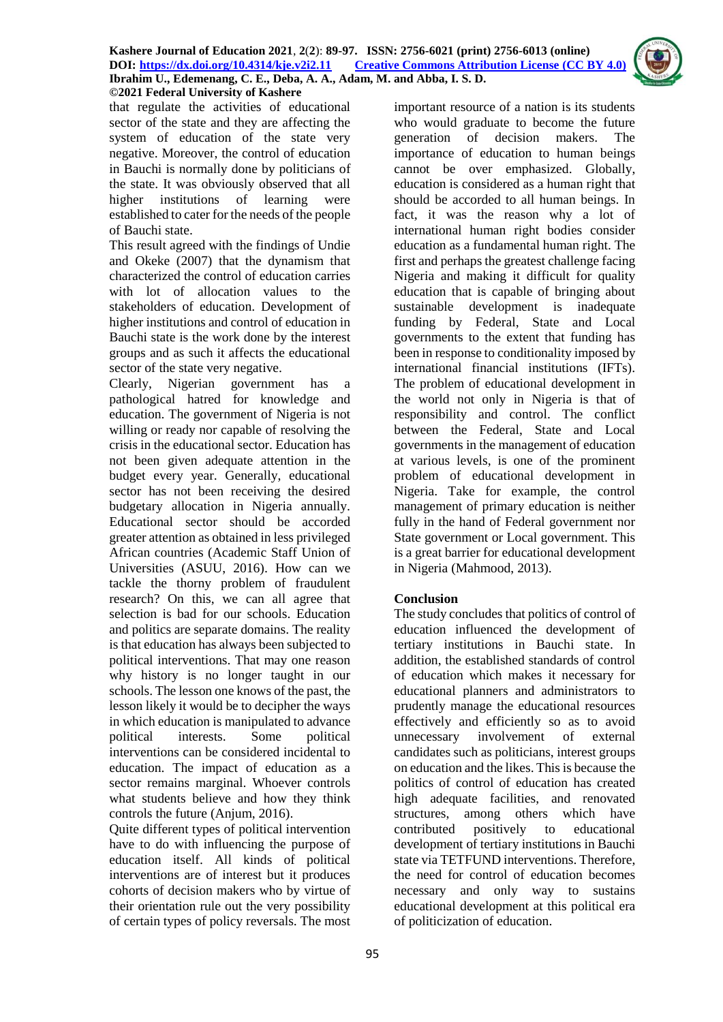

that regulate the activities of educational sector of the state and they are affecting the system of education of the state very negative. Moreover, the control of education in Bauchi is normally done by politicians of the state. It was obviously observed that all higher institutions of learning were established to cater for the needs of the people of Bauchi state.

This result agreed with the findings of Undie and Okeke (2007) that the dynamism that characterized the control of education carries with lot of allocation values to the stakeholders of education. Development of higher institutions and control of education in Bauchi state is the work done by the interest groups and as such it affects the educational sector of the state very negative.

Clearly, Nigerian government has a pathological hatred for knowledge and education. The government of Nigeria is not willing or ready nor capable of resolving the crisis in the educational sector. Education has not been given adequate attention in the budget every year. Generally, educational sector has not been receiving the desired budgetary allocation in Nigeria annually. Educational sector should be accorded greater attention as obtained in less privileged African countries (Academic Staff Union of Universities (ASUU, 2016). How can we tackle the thorny problem of fraudulent research? On this, we can all agree that selection is bad for our schools. Education and politics are separate domains. The reality is that education has always been subjected to political interventions. That may one reason why history is no longer taught in our schools. The lesson one knows of the past, the lesson likely it would be to decipher the ways in which education is manipulated to advance political interests. Some political interventions can be considered incidental to education. The impact of education as a sector remains marginal. Whoever controls what students believe and how they think controls the future (Anjum, 2016).

Quite different types of political intervention have to do with influencing the purpose of education itself. All kinds of political interventions are of interest but it produces cohorts of decision makers who by virtue of their orientation rule out the very possibility of certain types of policy reversals. The most

important resource of a nation is its students who would graduate to become the future generation of decision makers. The importance of education to human beings cannot be over emphasized. Globally, education is considered as a human right that should be accorded to all human beings. In fact, it was the reason why a lot of international human right bodies consider education as a fundamental human right. The first and perhaps the greatest challenge facing Nigeria and making it difficult for quality education that is capable of bringing about sustainable development is inadequate funding by Federal, State and Local governments to the extent that funding has been in response to conditionality imposed by international financial institutions (IFTs). The problem of educational development in the world not only in Nigeria is that of responsibility and control. The conflict between the Federal, State and Local governments in the management of education at various levels, is one of the prominent problem of educational development in Nigeria. Take for example, the control management of primary education is neither fully in the hand of Federal government nor State government or Local government. This is a great barrier for educational development in Nigeria (Mahmood, 2013).

# **Conclusion**

The study concludes that politics of control of education influenced the development of tertiary institutions in Bauchi state. In addition, the established standards of control of education which makes it necessary for educational planners and administrators to prudently manage the educational resources effectively and efficiently so as to avoid unnecessary involvement of external candidates such as politicians, interest groups on education and the likes. This is because the politics of control of education has created high adequate facilities, and renovated structures, among others which have contributed positively to educational development of tertiary institutions in Bauchi state via TETFUND interventions. Therefore, the need for control of education becomes necessary and only way to sustains educational development at this political era of politicization of education.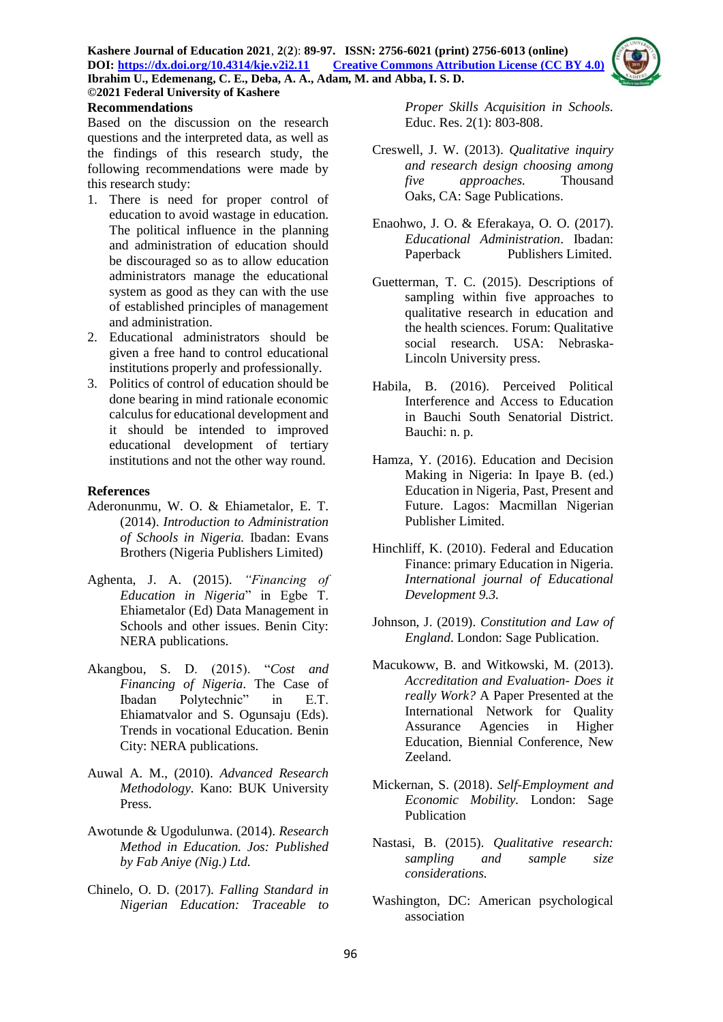

## **©2021 Federal University of Kashere Recommendations**

Based on the discussion on the research questions and the interpreted data, as well as the findings of this research study, the following recommendations were made by this research study:

- 1. There is need for proper control of education to avoid wastage in education. The political influence in the planning and administration of education should be discouraged so as to allow education administrators manage the educational system as good as they can with the use of established principles of management and administration.
- 2. Educational administrators should be given a free hand to control educational institutions properly and professionally.
- 3. Politics of control of education should be done bearing in mind rationale economic calculus for educational development and it should be intended to improved educational development of tertiary institutions and not the other way round.

## **References**

- Aderonunmu, W. O. & Ehiametalor, E. T. (2014). *Introduction to Administration of Schools in Nigeria.* Ibadan: Evans Brothers (Nigeria Publishers Limited)
- Aghenta, J. A. (2015). *"Financing of Education in Nigeria*" in Egbe T. Ehiametalor (Ed) Data Management in Schools and other issues. Benin City: NERA publications.
- Akangbou, S. D. (2015). "*Cost and Financing of Nigeria*. The Case of Ibadan Polytechnic" in E.T. Ehiamatvalor and S. Ogunsaju (Eds). Trends in vocational Education. Benin City: NERA publications.
- Auwal A. M., (2010). *Advanced Research Methodology.* Kano: BUK University Press.
- Awotunde & Ugodulunwa. (2014). *Research Method in Education. Jos: Published by Fab Aniye (Nig.) Ltd.*
- Chinelo, O. D. (2017). *Falling Standard in Nigerian Education: Traceable to*

*Proper Skills Acquisition in Schools.* Educ. Res. 2(1): 803-808.

- Creswell, J. W. (2013). *Qualitative inquiry and research design choosing among five approaches.* Thousand Oaks, CA: Sage Publications.
- Enaohwo, J. O. & Eferakaya, O. O. (2017). *Educational Administration*. Ibadan: Paperback Publishers Limited.
- Guetterman, T. C. (2015). Descriptions of sampling within five approaches to qualitative research in education and the health sciences. Forum: Qualitative social research. USA: Nebraska-Lincoln University press.
- Habila, B. (2016). Perceived Political Interference and Access to Education in Bauchi South Senatorial District. Bauchi: n. p.
- Hamza, Y. (2016). Education and Decision Making in Nigeria: In Ipaye B. (ed.) Education in Nigeria, Past, Present and Future. Lagos: Macmillan Nigerian Publisher Limited.
- Hinchliff, K. (2010). Federal and Education Finance: primary Education in Nigeria. *International journal of Educational Development 9.3.*
- Johnson, J. (2019). *Constitution and Law of England*. London: Sage Publication.
- Macukoww, B. and Witkowski, M. (2013). *Accreditation and Evaluation*- *Does it really Work?* A Paper Presented at the International Network for Quality Assurance Agencies in Higher Education, Biennial Conference, New Zeeland.
- Mickernan, S. (2018). *Self-Employment and Economic Mobility.* London: Sage Publication
- Nastasi, B. (2015). *Qualitative research: sampling and sample size considerations.*
- Washington, DC: American psychological association